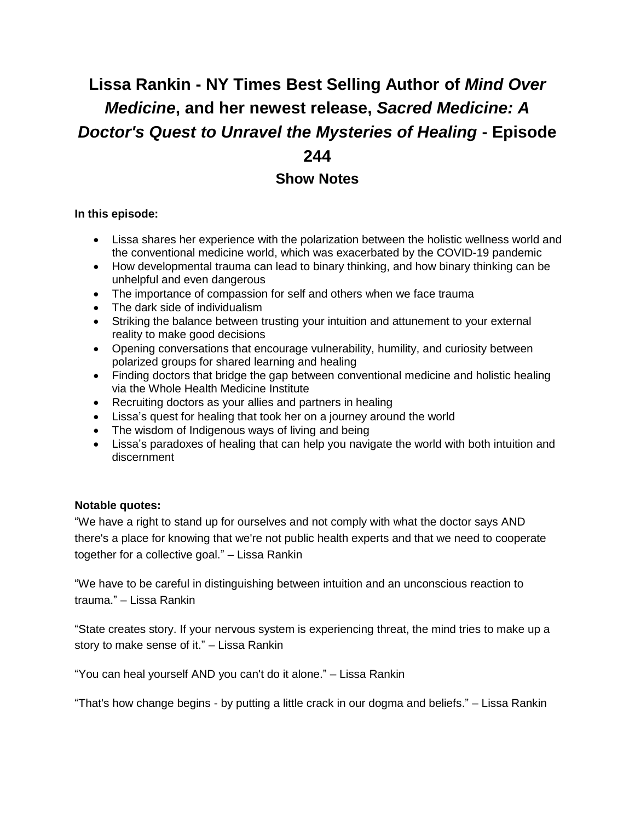# **Lissa Rankin - NY Times Best Selling Author of** *Mind Over Medicine***, and her newest release,** *Sacred Medicine: A Doctor's Quest to Unravel the Mysteries of Healing* **- Episode 244**

# **Show Notes**

#### **In this episode:**

- Lissa shares her experience with the polarization between the holistic wellness world and the conventional medicine world, which was exacerbated by the COVID-19 pandemic
- How developmental trauma can lead to binary thinking, and how binary thinking can be unhelpful and even dangerous
- The importance of compassion for self and others when we face trauma
- The dark side of individualism
- Striking the balance between trusting your intuition and attunement to your external reality to make good decisions
- Opening conversations that encourage vulnerability, humility, and curiosity between polarized groups for shared learning and healing
- Finding doctors that bridge the gap between conventional medicine and holistic healing via the Whole Health Medicine Institute
- Recruiting doctors as your allies and partners in healing
- Lissa's quest for healing that took her on a journey around the world
- The wisdom of Indigenous ways of living and being
- Lissa's paradoxes of healing that can help you navigate the world with both intuition and discernment

#### **Notable quotes:**

"We have a right to stand up for ourselves and not comply with what the doctor says AND there's a place for knowing that we're not public health experts and that we need to cooperate together for a collective goal." – Lissa Rankin

"We have to be careful in distinguishing between intuition and an unconscious reaction to trauma." – Lissa Rankin

"State creates story. If your nervous system is experiencing threat, the mind tries to make up a story to make sense of it." – Lissa Rankin

"You can heal yourself AND you can't do it alone." – Lissa Rankin

"That's how change begins - by putting a little crack in our dogma and beliefs." – Lissa Rankin